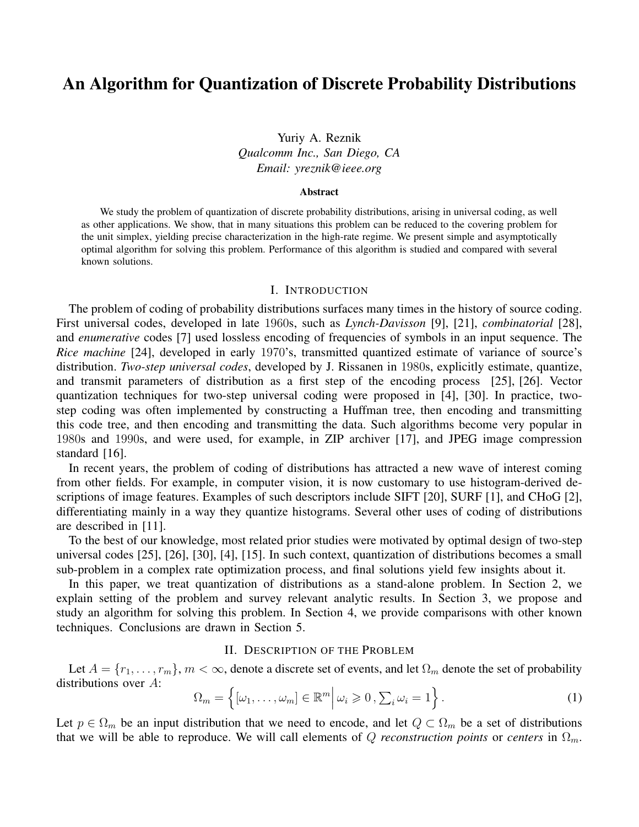# An Algorithm for Quantization of Discrete Probability Distributions

Yuriy A. Reznik *Qualcomm Inc., San Diego, CA Email: yreznik@ieee.org*

#### Abstract

We study the problem of quantization of discrete probability distributions, arising in universal coding, as well as other applications. We show, that in many situations this problem can be reduced to the covering problem for the unit simplex, yielding precise characterization in the high-rate regime. We present simple and asymptotically optimal algorithm for solving this problem. Performance of this algorithm is studied and compared with several known solutions.

#### I. INTRODUCTION

The problem of coding of probability distributions surfaces many times in the history of source coding. First universal codes, developed in late 1960s, such as *Lynch-Davisson* [9], [21], *combinatorial* [28], and *enumerative* codes [7] used lossless encoding of frequencies of symbols in an input sequence. The *Rice machine* [24], developed in early 1970's, transmitted quantized estimate of variance of source's distribution. *Two-step universal codes*, developed by J. Rissanen in 1980s, explicitly estimate, quantize, and transmit parameters of distribution as a first step of the encoding process [25], [26]. Vector quantization techniques for two-step universal coding were proposed in [4], [30]. In practice, twostep coding was often implemented by constructing a Huffman tree, then encoding and transmitting this code tree, and then encoding and transmitting the data. Such algorithms become very popular in 1980s and 1990s, and were used, for example, in ZIP archiver [17], and JPEG image compression standard [16].

In recent years, the problem of coding of distributions has attracted a new wave of interest coming from other fields. For example, in computer vision, it is now customary to use histogram-derived descriptions of image features. Examples of such descriptors include SIFT [20], SURF [1], and CHoG [2], differentiating mainly in a way they quantize histograms. Several other uses of coding of distributions are described in [11].

To the best of our knowledge, most related prior studies were motivated by optimal design of two-step universal codes [25], [26], [30], [4], [15]. In such context, quantization of distributions becomes a small sub-problem in a complex rate optimization process, and final solutions yield few insights about it.

In this paper, we treat quantization of distributions as a stand-alone problem. In Section 2, we explain setting of the problem and survey relevant analytic results. In Section 3, we propose and study an algorithm for solving this problem. In Section 4, we provide comparisons with other known techniques. Conclusions are drawn in Section 5.

## II. DESCRIPTION OF THE PROBLEM

Let  $A = \{r_1, \ldots, r_m\}$ ,  $m < \infty$ , denote a discrete set of events, and let  $\Omega_m$  denote the set of probability distributions over *A*:

$$
\Omega_m = \left\{ [\omega_1, \dots, \omega_m] \in \mathbb{R}^m \middle| \omega_i \geqslant 0, \sum_i \omega_i = 1 \right\}.
$$
 (1)

Let  $p \in \Omega_m$  be an input distribution that we need to encode, and let  $Q \subset \Omega_m$  be a set of distributions that we will be able to reproduce. We will call elements of *Q reconstruction points* or *centers* in  $\Omega_m$ .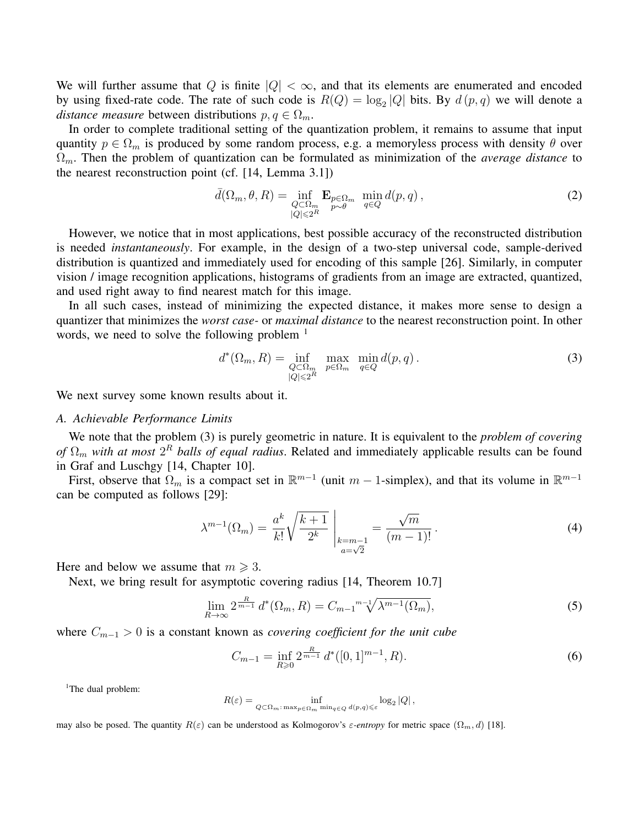We will further assume that *Q* is finite  $|Q| < \infty$ , and that its elements are enumerated and encoded by using fixed-rate code. The rate of such code is  $R(Q) = \log_2 |Q|$  bits. By  $d(p, q)$  we will denote a *distance measure* between distributions  $p, q \in \Omega_m$ .

In order to complete traditional setting of the quantization problem, it remains to assume that input quantity  $p \in \Omega_m$  is produced by some random process, e.g. a memoryless process with density  $\theta$  over Ω*m*. Then the problem of quantization can be formulated as minimization of the *average distance* to the nearest reconstruction point (cf. [14, Lemma 3.1])

$$
\bar{d}(\Omega_m, \theta, R) = \inf_{\substack{Q \subset \Omega_m \\ |Q| \le 2^R}} \mathbf{E}_{p \in \Omega_m} \min_{q \in Q} d(p, q), \qquad (2)
$$

However, we notice that in most applications, best possible accuracy of the reconstructed distribution is needed *instantaneously*. For example, in the design of a two-step universal code, sample-derived distribution is quantized and immediately used for encoding of this sample [26]. Similarly, in computer vision / image recognition applications, histograms of gradients from an image are extracted, quantized, and used right away to find nearest match for this image.

In all such cases, instead of minimizing the expected distance, it makes more sense to design a quantizer that minimizes the *worst case-* or *maximal distance* to the nearest reconstruction point. In other words, we need to solve the following problem  $<sup>1</sup>$ </sup>

$$
d^*(\Omega_m, R) = \inf_{\substack{Q \subset \Omega_m \\ |Q| \le 2^R}} \max_{p \in \Omega_m} \min_{q \in Q} d(p, q).
$$
 (3)

We next survey some known results about it.

## *A. Achievable Performance Limits*

We note that the problem (3) is purely geometric in nature. It is equivalent to the *problem of covering of* Ω*<sup>m</sup> with at most* 2 *<sup>R</sup> balls of equal radius*. Related and immediately applicable results can be found in Graf and Luschgy [14, Chapter 10].

First, observe that  $\Omega_m$  is a compact set in  $\mathbb{R}^{m-1}$  (unit  $m-1$ -simplex), and that its volume in  $\mathbb{R}^{m-1}$ can be computed as follows [29]:

$$
\lambda^{m-1}(\Omega_m) = \frac{a^k}{k!} \sqrt{\frac{k+1}{2^k}} \Big|_{\substack{k=m-1 \ a=\sqrt{2}}} = \frac{\sqrt{m}}{(m-1)!} \,. \tag{4}
$$

Here and below we assume that  $m \geq 3$ .

Next, we bring result for asymptotic covering radius [14, Theorem 10.7]

$$
\lim_{R \to \infty} 2^{\frac{R}{m-1}} d^*(\Omega_m, R) = C_{m-1} {}^{m-1} \sqrt{\lambda^{m-1}(\Omega_m)},
$$
\n(5)

where *C<sup>m</sup>−*<sup>1</sup> *>* 0 is a constant known as *covering coefficient for the unit cube*

$$
C_{m-1} = \inf_{R \geq 0} 2^{\frac{R}{m-1}} d^*([0,1]^{m-1}, R). \tag{6}
$$

<sup>1</sup>The dual problem:

$$
R(\varepsilon) = \inf_{Q \subset \Omega_m : \max_{p \in \Omega_m} \min_{q \in Q} d(p,q) \leq \varepsilon} \log_2 |Q|,
$$

may also be posed. The quantity  $R(\varepsilon)$  can be understood as Kolmogorov's  $\varepsilon$ -entropy for metric space  $(\Omega_m, d)$  [18].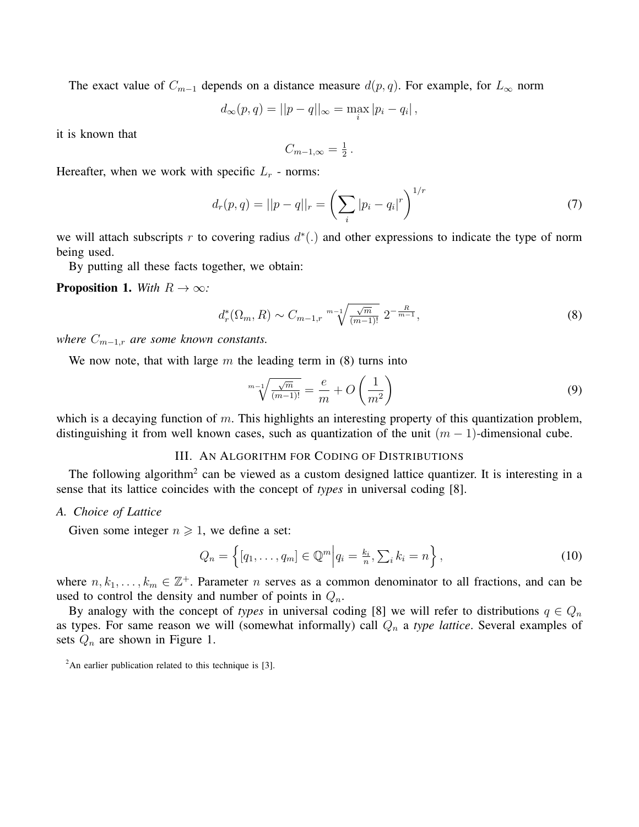The exact value of  $C_{m-1}$  depends on a distance measure  $d(p, q)$ . For example, for  $L_{\infty}$  norm

$$
d_{\infty}(p,q) = ||p - q||_{\infty} = \max_{i} |p_i - q_i|,
$$

it is known that

$$
C_{m-1,\infty}=\tfrac{1}{2}.
$$

Hereafter, when we work with specific  $L_r$  - norms:

$$
d_r(p,q) = ||p - q||_r = \left(\sum_i |p_i - q_i|^r\right)^{1/r}
$$
\n(7)

we will attach subscripts *r* to covering radius *d ∗* (*.*) and other expressions to indicate the type of norm being used.

By putting all these facts together, we obtain:

**Proposition 1.** *With*  $R \rightarrow \infty$ *:* 

$$
d_r^*(\Omega_m, R) \sim C_{m-1,r} \sqrt[m-1]{\frac{\sqrt{m}}{(m-1)!}} \, 2^{-\frac{R}{m-1}},\tag{8}
$$

*where*  $C_{m-1,r}$  *are some known constants.* 

We now note, that with large *m* the leading term in (8) turns into

$$
\sqrt[m-1]{\frac{\sqrt{m}}{(m-1)!}} = \frac{e}{m} + O\left(\frac{1}{m^2}\right)
$$
\n(9)

which is a decaying function of *m*. This highlights an interesting property of this quantization problem, distinguishing it from well known cases, such as quantization of the unit  $(m - 1)$ -dimensional cube.

# III. AN ALGORITHM FOR CODING OF DISTRIBUTIONS

The following algorithm<sup>2</sup> can be viewed as a custom designed lattice quantizer. It is interesting in a sense that its lattice coincides with the concept of *types* in universal coding [8].

## *A. Choice of Lattice*

Given some integer  $n \ge 1$ , we define a set:

$$
Q_n = \left\{ [q_1, \dots, q_m] \in \mathbb{Q}^m \middle| q_i = \frac{k_i}{n}, \sum_i k_i = n \right\},\tag{10}
$$

where  $n, k_1, \ldots, k_m \in \mathbb{Z}^+$ . Parameter *n* serves as a common denominator to all fractions, and can be used to control the density and number of points in *Qn*.

By analogy with the concept of *types* in universal coding [8] we will refer to distributions  $q \in Q_n$ as types. For same reason we will (somewhat informally) call *Q<sup>n</sup>* a *type lattice*. Several examples of sets *Q<sup>n</sup>* are shown in Figure 1.

 $2$ An earlier publication related to this technique is [3].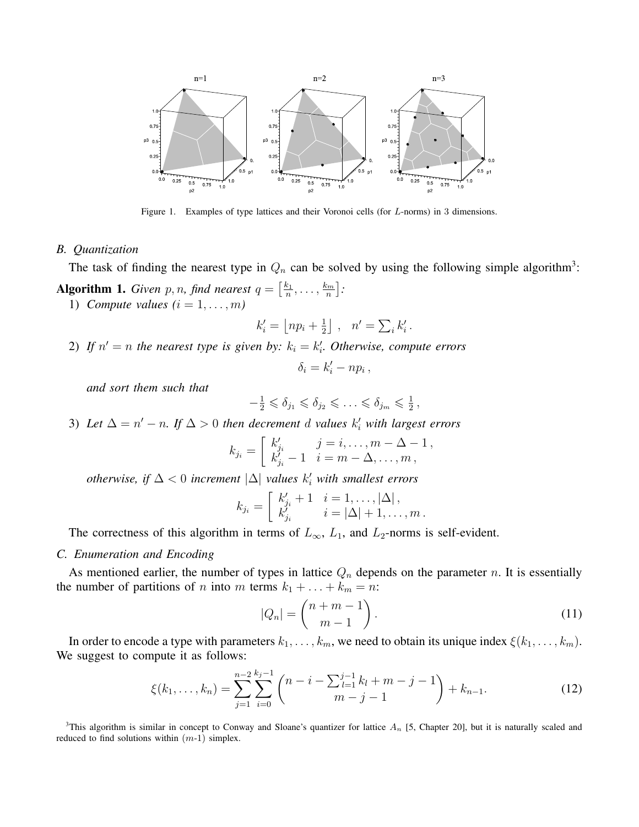

Figure 1. Examples of type lattices and their Voronoi cells (for *L*-norms) in 3 dimensions.

## *B. Quantization*

The task of finding the nearest type in  $Q_n$  can be solved by using the following simple algorithm<sup>3</sup>:

**Algorithm 1.** *Given p*, *n*, *find nearest*  $q = \left[\frac{k_1}{n}\right]$  $\frac{k_1}{n}, \ldots, \frac{k_m}{n}$ *n* ] *:* 1) *Compute values*  $(i = 1, \ldots, m)$ 

$$
k_i' = \left\lfloor n p_i + \frac{1}{2} \right\rfloor \;,\ \ n' = \textstyle \sum_i k_i' \,.
$$

2) If  $n' = n$  the nearest type is given by:  $k_i = k'_i$ . Otherwise, compute errors

$$
\delta_i = k'_i - np_i \,,
$$

*and sort them such that*

$$
-\frac{1}{2} \leq \delta_{j_1} \leq \delta_{j_2} \leq \ldots \leq \delta_{j_m} \leq \frac{1}{2}
$$

3) Let  $\Delta = n' - n$ . If  $\Delta > 0$  then decrement *d* values  $k'_{i}$  with largest errors

$$
k_{j_i} = \begin{bmatrix} k'_{j_i} & j = i, \dots, m - \Delta - 1, \\ k'_{j_i} - 1 & i = m - \Delta, \dots, m, \end{bmatrix}
$$

*otherwise, if* ∆ *<* 0 *increment |*∆*| values k ′ <sup>i</sup> with smallest errors*

$$
k_{j_i} = \begin{bmatrix} k'_{j_i} + 1 & i = 1, \dots, |\Delta| \\ k'_{j_i} & i = |\Delta| + 1, \dots, m \end{bmatrix}.
$$

The correctness of this algorithm in terms of  $L_{\infty}$ ,  $L_1$ , and  $L_2$ -norms is self-evident.

#### *C. Enumeration and Encoding*

As mentioned earlier, the number of types in lattice *Q<sup>n</sup>* depends on the parameter *n*. It is essentially the number of partitions of *n* into *m* terms  $k_1 + \ldots + k_m = n$ :

$$
|Q_n| = \binom{n+m-1}{m-1}.
$$
\n(11)

*,*

In order to encode a type with parameters  $k_1, \ldots, k_m$ , we need to obtain its unique index  $\xi(k_1, \ldots, k_m)$ . We suggest to compute it as follows:

$$
\xi(k_1,\ldots,k_n) = \sum_{j=1}^{n-2} \sum_{i=0}^{k_j-1} \binom{n-i-\sum_{l=1}^{j-1} k_l + m - j - 1}{m-j-1} + k_{n-1}.
$$
 (12)

<sup>3</sup>This algorithm is similar in concept to Conway and Sloane's quantizer for lattice  $A_n$  [5, Chapter 20], but it is naturally scaled and reduced to find solutions within (*m*-1) simplex.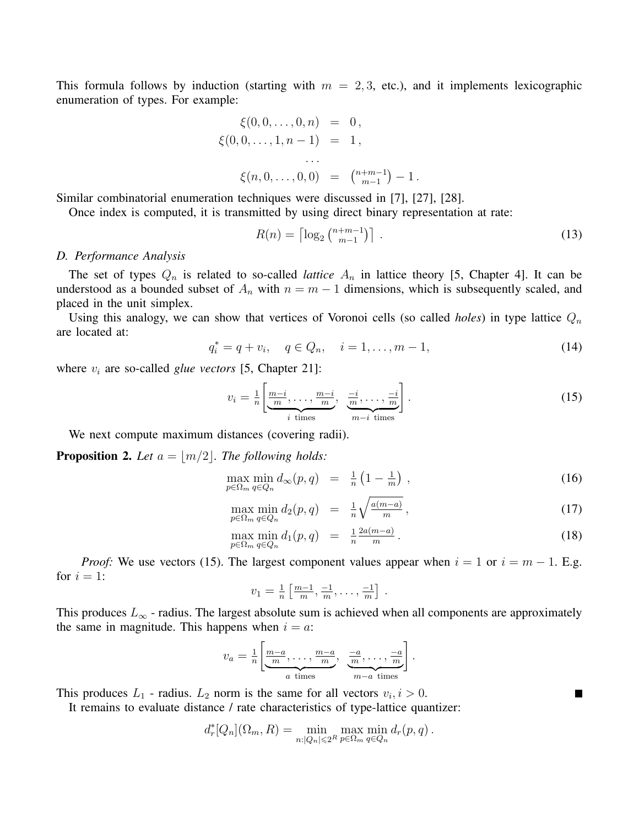This formula follows by induction (starting with  $m = 2, 3$ , etc.), and it implements lexicographic enumeration of types. For example:

$$
\xi(0,0,\ldots,0,n) = 0,\n\xi(0,0,\ldots,1,n-1) = 1,\n\ldots\n\xi(n,0,\ldots,0,0) = \binom{n+m-1}{m-1} - 1.
$$

Similar combinatorial enumeration techniques were discussed in [7], [27], [28].

Once index is computed, it is transmitted by using direct binary representation at rate:

$$
R(n) = \left\lceil \log_2 \binom{n+m-1}{m-1} \right\rceil \tag{13}
$$

#### *D. Performance Analysis*

The set of types  $Q_n$  is related to so-called *lattice*  $A_n$  in lattice theory [5, Chapter 4]. It can be understood as a bounded subset of  $A_n$  with  $n = m - 1$  dimensions, which is subsequently scaled, and placed in the unit simplex.

Using this analogy, we can show that vertices of Voronoi cells (so called *holes*) in type lattice *Q<sup>n</sup>* are located at:

$$
q_i^* = q + v_i, \quad q \in Q_n, \quad i = 1, \dots, m - 1,
$$
\n(14)

where  $v_i$  are so-called *glue vectors* [5, Chapter 21]:

$$
v_i = \frac{1}{n} \left[ \underbrace{\frac{m-i}{m}, \dots, \frac{m-i}{m}}_{i \text{ times}}, \underbrace{\frac{-i}{m}, \dots, \frac{-i}{m}}_{m-i \text{ times}} \right].
$$
 (15)

We next compute maximum distances (covering radii).

**Proposition 2.** Let  $a = |m/2|$ . The following holds:

$$
\max_{p \in \Omega_m} \min_{q \in Q_n} d_\infty(p, q) = \frac{1}{n} \left( 1 - \frac{1}{m} \right), \tag{16}
$$

$$
\max_{p \in \Omega_m} \min_{q \in Q_n} d_2(p, q) = \frac{1}{n} \sqrt{\frac{a(m-a)}{m}}, \tag{17}
$$

$$
\max_{p \in \Omega_m} \min_{q \in Q_n} d_1(p,q) = \frac{1}{n} \frac{2a(m-a)}{m}.
$$
\n(18)

 $\overline{a}$ 

 $\blacksquare$ 

*Proof:* We use vectors (15). The largest component values appear when  $i = 1$  or  $i = m - 1$ . E.g. for  $i = 1$ :

$$
v_1 = \frac{1}{n} \left[ \frac{m-1}{m}, \frac{-1}{m}, \dots, \frac{-1}{m} \right].
$$

This produces  $L_{\infty}$  - radius. The largest absolute sum is achieved when all components are approximately the same in magnitude. This happens when  $i = a$ .

$$
v_a = \frac{1}{n} \left[ \underbrace{\frac{m-a}{m}, \dots, \frac{m-a}{m}}_{a \text{ times}}, \underbrace{\frac{-a}{m}, \dots, \frac{-a}{m}}_{m-a \text{ times}} \right].
$$

This produces  $L_1$  - radius.  $L_2$  norm is the same for all vectors  $v_i, i > 0$ .

It remains to evaluate distance / rate characteristics of type-lattice quantizer:

$$
d_r^*[Q_n](\Omega_m, R) = \min_{n: |Q_n| \leqslant 2^R} \max_{p \in \Omega_m} \min_{q \in Q_n} d_r(p, q) .
$$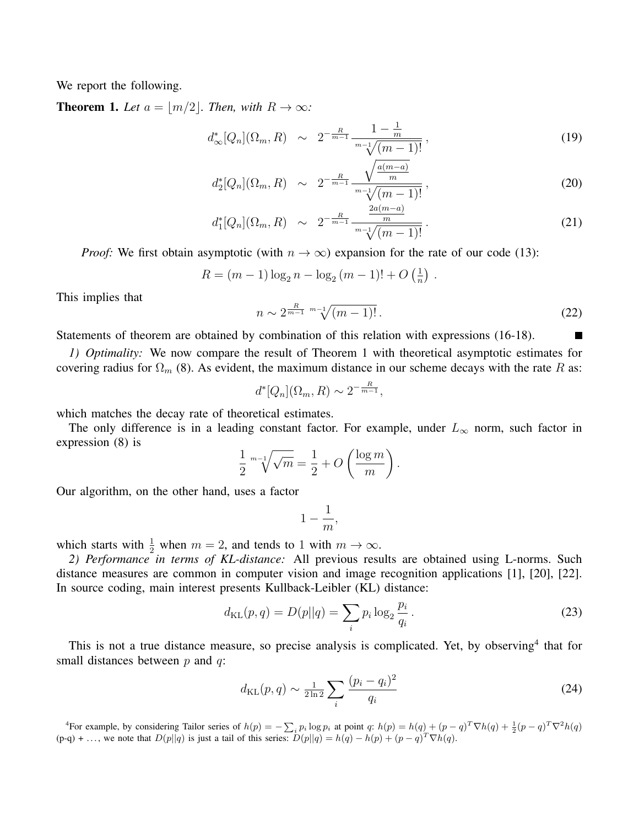We report the following.

**Theorem 1.** Let  $a = |m/2|$ . Then, with  $R \to \infty$ :

$$
d_{\infty}^*[Q_n](\Omega_m, R) \sim 2^{-\frac{R}{m-1}} \frac{1 - \frac{1}{m}}{\sqrt[m-1]{(m-1)!}}, \tag{19}
$$

$$
d_2^*[Q_n](\Omega_m, R) \sim 2^{-\frac{R}{m-1}} \frac{\sqrt{\frac{a(m-a)}{m}}}{\sqrt{m-1}!}, \qquad (20)
$$

$$
d_1^*[Q_n](\Omega_m, R) \sim 2^{-\frac{R}{m-1}} \frac{\frac{2a(m-a)}{m}}{\sqrt[m-1]{(m-1)!}}.
$$
\n(21)

*Proof:* We first obtain asymptotic (with  $n \to \infty$ ) expansion for the rate of our code (13):

$$
R = (m-1)\log_2 n - \log_2 (m-1)! + O\left(\frac{1}{n}\right).
$$

This implies that

$$
n \sim 2^{\frac{R}{m-1}} \sqrt[m-1]{(m-1)!} \,. \tag{22}
$$

Statements of theorem are obtained by combination of this relation with expressions (16-18).

*1) Optimality:* We now compare the result of Theorem 1 with theoretical asymptotic estimates for covering radius for  $\Omega_m$  (8). As evident, the maximum distance in our scheme decays with the rate *R* as:

$$
d^*[Q_n](\Omega_m, R) \sim 2^{-\frac{R}{m-1}},
$$

which matches the decay rate of theoretical estimates.

The only difference is in a leading constant factor. For example, under  $L_{\infty}$  norm, such factor in expression (8) is

$$
\frac{1}{2} \sqrt[m-1]{\sqrt{m}} = \frac{1}{2} + O\left(\frac{\log m}{m}\right).
$$

Our algorithm, on the other hand, uses a factor

$$
1-\frac{1}{m},
$$

which starts with  $\frac{1}{2}$  when  $m = 2$ , and tends to 1 with  $m \to \infty$ .

*2) Performance in terms of KL-distance:* All previous results are obtained using L-norms. Such distance measures are common in computer vision and image recognition applications [1], [20], [22]. In source coding, main interest presents Kullback-Leibler (KL) distance:

$$
d_{\text{KL}}(p,q) = D(p||q) = \sum_{i} p_i \log_2 \frac{p_i}{q_i} \,. \tag{23}
$$

This is not a true distance measure, so precise analysis is complicated. Yet, by observing<sup>4</sup> that for small distances between *p* and *q*:

$$
d_{\text{KL}}(p,q) \sim \frac{1}{2\ln 2} \sum_{i} \frac{(p_i - q_i)^2}{q_i}
$$
 (24)

<sup>4</sup>For example, by considering Tailor series of  $h(p) = -\sum_i p_i \log p_i$  at point q:  $h(p) = h(q) + (p - q)^T \nabla h(q) + \frac{1}{2}(p - q)^T \nabla^2 h(q)$  $(p-q) + \ldots$ , we note that  $D(p||q)$  is just a tail of this series:  $D(p||q) = h(q) - h(p) + (p - q)^T \nabla h(q)$ .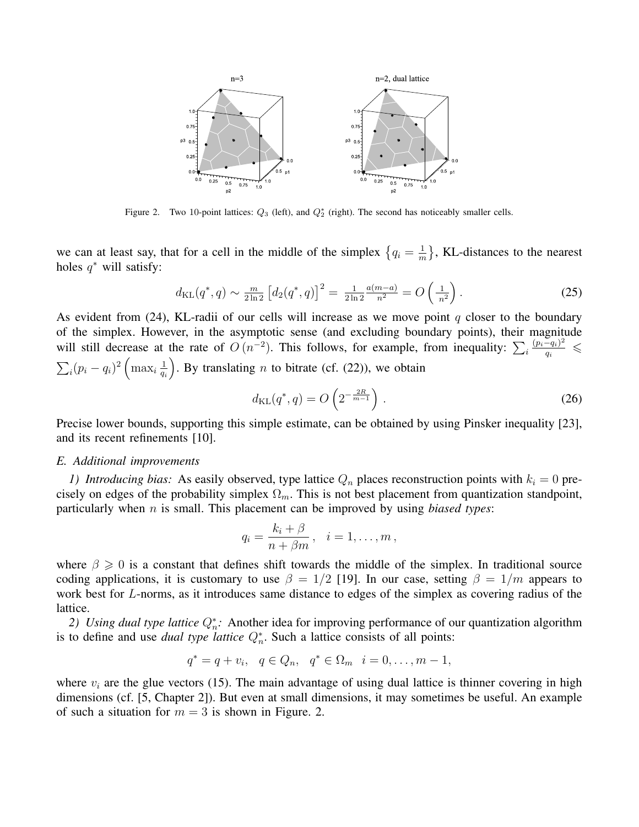

Figure 2. Two 10-point lattices:  $Q_3$  (left), and  $Q_2^*$  (right). The second has noticeably smaller cells.

we can at least say, that for a cell in the middle of the simplex  $\{q_i = \frac{1}{n}\}$  $\frac{1}{m}$ , KL-distances to the nearest holes *q <sup>∗</sup>* will satisfy:

$$
d_{\text{KL}}(q^*, q) \sim \frac{m}{2\ln 2} \left[ d_2(q^*, q) \right]^2 = \frac{1}{2\ln 2} \frac{a(m-a)}{n^2} = O\left(\frac{1}{n^2}\right). \tag{25}
$$

As evident from (24), KL-radii of our cells will increase as we move point *q* closer to the boundary of the simplex. However, in the asymptotic sense (and excluding boundary points), their magnitude will still decrease at the rate of  $O(n^{-2})$ . This follows, for example, from inequality:  $\sum_{i} \frac{(p_i - q_i)^2}{q_i}$  $\frac{-q_i}{q_i} \leq$  $\sum_i (p_i - q_i)^2 \left( \max_i \frac{1}{q_i} \right)$ *qi* ). By translating  $n$  to bitrate (cf.  $(22)$ ), we obtain

$$
d_{\text{KL}}(q^*, q) = O\left(2^{-\frac{2R}{m-1}}\right). \tag{26}
$$

Precise lower bounds, supporting this simple estimate, can be obtained by using Pinsker inequality [23], and its recent refinements [10].

### *E. Additional improvements*

*1) Introducing bias:* As easily observed, type lattice  $Q_n$  places reconstruction points with  $k_i = 0$  precisely on edges of the probability simplex  $\Omega_m$ . This is not best placement from quantization standpoint, particularly when *n* is small. This placement can be improved by using *biased types*:

$$
q_i = \frac{k_i + \beta}{n + \beta m}, \quad i = 1, \dots, m
$$

where  $\beta \geqslant 0$  is a constant that defines shift towards the middle of the simplex. In traditional source coding applications, it is customary to use  $\beta = 1/2$  [19]. In our case, setting  $\beta = 1/m$  appears to work best for *L*-norms, as it introduces same distance to edges of the simplex as covering radius of the lattice.

*2) Using dual type lattice*  $Q_n^*$ : Another idea for improving performance of our quantization algorithm is to define and use *dual type lattice*  $Q_n^*$ . Such a lattice consists of all points:

$$
q^* = q + v_i, \quad q \in Q_n, \quad q^* \in \Omega_m \quad i = 0, \ldots, m - 1,
$$

where  $v_i$  are the glue vectors (15). The main advantage of using dual lattice is thinner covering in high dimensions (cf. [5, Chapter 2]). But even at small dimensions, it may sometimes be useful. An example of such a situation for  $m = 3$  is shown in Figure. 2.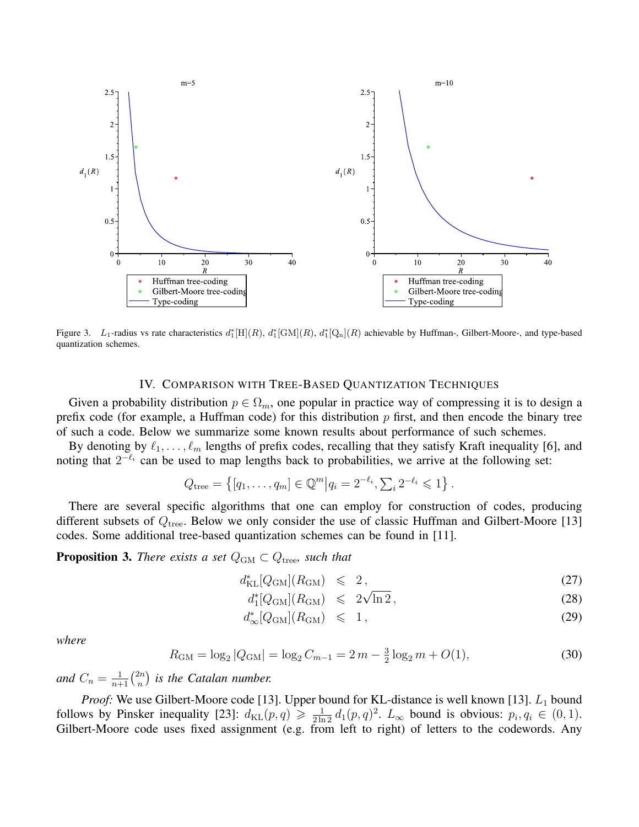

Figure 3. *L*<sub>1</sub>-radius vs rate characteristics  $d_1^*[H](R)$ ,  $d_1^*[G \Lambda](R)$ ,  $d_1^*[Q \Lambda](R)$  achievable by Huffman-, Gilbert-Moore-, and type-based quantization schemes.

## IV. COMPARISON WITH TREE-BASED QUANTIZATION TECHNIQUES

Given a probability distribution  $p \in \Omega_m$ , one popular in practice way of compressing it is to design a prefix code (for example, a Huffman code) for this distribution *p* first, and then encode the binary tree of such a code. Below we summarize some known results about performance of such schemes.

By denoting by  $\ell_1, \ldots, \ell_m$  lengths of prefix codes, recalling that they satisfy Kraft inequality [6], and noting that  $2^{-\ell_i}$  can be used to map lengths back to probabilities, we arrive at the following set:

$$
Q_{\text{tree}} = \{ [q_1, \ldots, q_m] \in \mathbb{Q}^m | q_i = 2^{-\ell_i}, \sum_i 2^{-\ell_i} \leq 1 \}.
$$

There are several specific algorithms that one can employ for construction of codes, producing different subsets of *Q*tree. Below we only consider the use of classic Huffman and Gilbert-Moore [13] codes. Some additional tree-based quantization schemes can be found in [11].

**Proposition 3.** *There exists a set*  $Q_{\text{GM}} \subset Q_{\text{tree}}$ *, such that* 

$$
d_{\text{KL}}^*[Q_{\text{GM}}](R_{\text{GM}}) \leqslant 2, \tag{27}
$$

$$
d_1^*[Q_{\rm GM}](R_{\rm GM}) \leq 2\sqrt{\ln 2}, \qquad (28)
$$

$$
d_{\infty}^*[Q_{\rm GM}](R_{\rm GM}) \leq 1, \qquad (29)
$$

*where*

$$
R_{\rm GM} = \log_2 |Q_{\rm GM}| = \log_2 C_{m-1} = 2m - \frac{3}{2} \log_2 m + O(1),\tag{30}
$$

*and*  $C_n = \frac{1}{n+1} \binom{2n}{n}$  $\binom{2n}{n}$  is the Catalan number.

*Proof:* We use Gilbert-Moore code [13]. Upper bound for KL-distance is well known [13]. *L*<sup>1</sup> bound follows by Pinsker inequality [23]:  $d_{KL}(p,q) \geq \frac{1}{2 \ln 2} d_1(p,q)^2$ .  $L_{\infty}$  bound is obvious:  $p_i, q_i \in (0,1)$ . Gilbert-Moore code uses fixed assignment (e.g. from left to right) of letters to the codewords. Any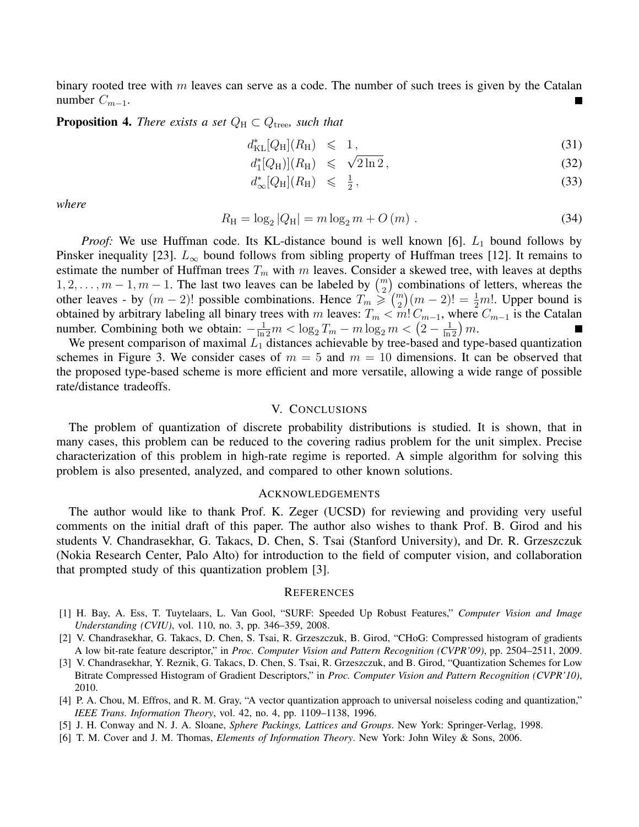binary rooted tree with *m* leaves can serve as a code. The number of such trees is given by the Catalan number  $C_{m-1}$ .

**Proposition 4.** *There exists a set*  $Q_H \subset Q_{\text{tree}}$ *, such that* 

$$
d_{\text{KL}}^*[Q_{\text{H}}](R_{\text{H}}) \leq 1,\tag{31}
$$

$$
d_1^*[Q_H](R_H) \leqslant \sqrt{2\ln 2},\tag{32}
$$

$$
d_{\infty}^*[Q_{\mathrm{H}}](R_{\mathrm{H}}) \leqslant \frac{1}{2},\tag{33}
$$

*where*

$$
R_{\rm H} = \log_2 |Q_{\rm H}| = m \log_2 m + O(m) \tag{34}
$$

*Proof:* We use Huffman code. Its KL-distance bound is well known [6].  $L_1$  bound follows by Pinsker inequality [23].  $L_{\infty}$  bound follows from sibling property of Huffman trees [12]. It remains to estimate the number of Huffman trees  $T_m$  with  $m$  leaves. Consider a skewed tree, with leaves at depths 1, 2, . . . ,  $m-1$ ,  $m-1$ . The last two leaves can be labeled by  $\binom{m}{2}$  combinations of letters, whereas the other leaves - by  $(m-2)!$  possible combinations. Hence  $T_m \geq (m \choose 2)(m-2)! = \frac{1}{2}m!$ . Upper bound is obtained by arbitrary labeling all binary trees with *m* leaves:  $T_m < m$ !  $C_{m-1}$ , where  $C_{m-1}$  is the Catalan number. Combining both we obtain:  $-\frac{1}{\ln 2}m < \log_2 T_m - m \log_2 m < (2 - \frac{1}{\ln 2}) m$ .

We present comparison of maximal  $L_1$  distances achievable by tree-based and type-based quantization schemes in Figure 3. We consider cases of  $m = 5$  and  $m = 10$  dimensions. It can be observed that the proposed type-based scheme is more efficient and more versatile, allowing a wide range of possible rate/distance tradeoffs.

# V. CONCLUSIONS

The problem of quantization of discrete probability distributions is studied. It is shown, that in many cases, this problem can be reduced to the covering radius problem for the unit simplex. Precise characterization of this problem in high-rate regime is reported. A simple algorithm for solving this problem is also presented, analyzed, and compared to other known solutions.

## ACKNOWLEDGEMENTS

The author would like to thank Prof. K. Zeger (UCSD) for reviewing and providing very useful comments on the initial draft of this paper. The author also wishes to thank Prof. B. Girod and his students V. Chandrasekhar, G. Takacs, D. Chen, S. Tsai (Stanford University), and Dr. R. Grzeszczuk (Nokia Research Center, Palo Alto) for introduction to the field of computer vision, and collaboration that prompted study of this quantization problem [3].

#### **REFERENCES**

- [1] H. Bay, A. Ess, T. Tuytelaars, L. Van Gool, "SURF: Speeded Up Robust Features," *Computer Vision and Image Understanding (CVIU)*, vol. 110, no. 3, pp. 346–359, 2008.
- [2] V. Chandrasekhar, G. Takacs, D. Chen, S. Tsai, R. Grzeszczuk, B. Girod, "CHoG: Compressed histogram of gradients A low bit-rate feature descriptor," in *Proc. Computer Vision and Pattern Recognition (CVPR'09)*, pp. 2504–2511, 2009.
- [3] V. Chandrasekhar, Y. Reznik, G. Takacs, D. Chen, S. Tsai, R. Grzeszczuk, and B. Girod, "Quantization Schemes for Low Bitrate Compressed Histogram of Gradient Descriptors," in *Proc. Computer Vision and Pattern Recognition (CVPR'10)*, 2010.
- [4] P. A. Chou, M. Effros, and R. M. Gray, "A vector quantization approach to universal noiseless coding and quantization," *IEEE Trans. Information Theory*, vol. 42, no. 4, pp. 1109–1138, 1996.
- [5] J. H. Conway and N. J. A. Sloane, *Sphere Packings, Lattices and Groups*. New York: Springer-Verlag, 1998.
- [6] T. M. Cover and J. M. Thomas, *Elements of Information Theory*. New York: John Wiley & Sons, 2006.